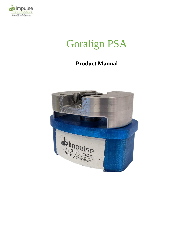

# Goralign PSA

## **Product Manual**

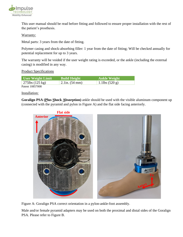

This user manual should be read before fitting and followed to ensure proper installation with the rest of the patient's prosthesis.

Warranty:

Metal parts: 3 years from the date of fitting.

Polymer casing and shock-absorbing filler: 1 year from the date of fitting; Will be checked annually for potential replacement for up to 3 years.

The warranty will be voided if the user weight rating is exceeded, or the ankle (including the external casing) is modified in any way.

#### Product Specifications

| User Weight Limit         | Build Height                | <b>Ankle Weight</b> |
|---------------------------|-----------------------------|---------------------|
| 275lbs $(125 \text{ kg})$ | $2.1$ in. $(54 \text{ mm})$ | 1.1lbs $(520 g)$    |
| $R = 10057000$            |                             |                     |

Patent 10857008

Installation:

**Goralign PSA (Plus Shock Absorption)** ankle should be used with the visible aluminum component up (connected with the pyramid and pylon in Figure A) and the flat side facing anteriorly.



Figure A: Goralign PSA correct orientation in a pylon-ankle-foot assembly.

Male and/or female pyramid adapters may be used on both the proximal and distal sides of the Goralign PSA. Please refer to Figure B.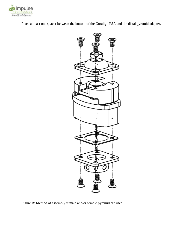

Place at least one spacer between the bottom of the Goralign PSA and the distal pyramid adapter.



Figure B: Method of assembly if male and/or female pyramid are used.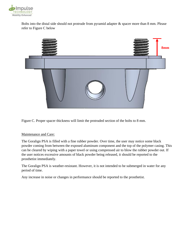

Bolts into the distal side should not protrude from pyramid adapter & spacer more than 8 mm. Please refer to Figure C below



Figure C. Proper spacer thickness will limit the protruded section of the bolts to 8 mm.

#### Maintenance and Care:

The Goralign PSA is filled with a fine rubber powder. Over time, the user may notice some black powder coming from between the exposed aluminum component and the top of the polymer casing. This can be cleared by wiping with a paper towel or using compressed air to blow the rubber powder out. If the user notices excessive amounts of black powder being released, it should be reported to the prosthetist immediately.

The Goralign PSA is weather-resistant. However, it is not intended to be submerged in water for any period of time.

Any increase in noise or changes in performance should be reported to the prosthetist.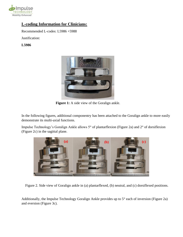

### **L-coding Information for Clinicians:**

Recommended L-codes: L5986 +5988

Justification:

**L5986**



**Figure 1:** A side view of the Goralign ankle.

In the following figures, additional componentry has been attached to the Goralign ankle to more easily demonstrate its multi-axial functions.

Impulse Technology's Goralign Ankle allows 5° of plantarflexion (Figure 2a) and 2° of dorsiflexion (Figure 2c) in the sagittal plane.



Figure 2. Side view of Goralign ankle in (a) plantarflexed, (b) neutral, and (c) dorsiflexed positions.

Additionally, the Impulse Technology Goralign Ankle provides up to 5° each of inversion (Figure 2a) and eversion (Figure 3c).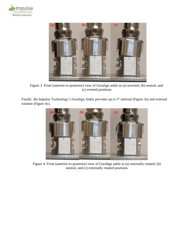



Figure 3. Front (anterior-to-posterior) view of Goralign ankle in (a) inverted, (b) neutral, and (c) everted positions

Finally, the Impulse Technology's Goralign Ankle provides up to 5° internal (Figure 3a) and external rotation (Figure 4c).



Figure 4. Front (anterior-to-posterior) view of Goralign ankle in (a) internally rotated, (b) neutral, and (c) externally rotated positions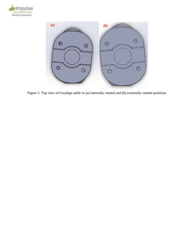



Figure 5. Top view of Goralign ankle in (a) internally rotated and (b) externally rotated positions